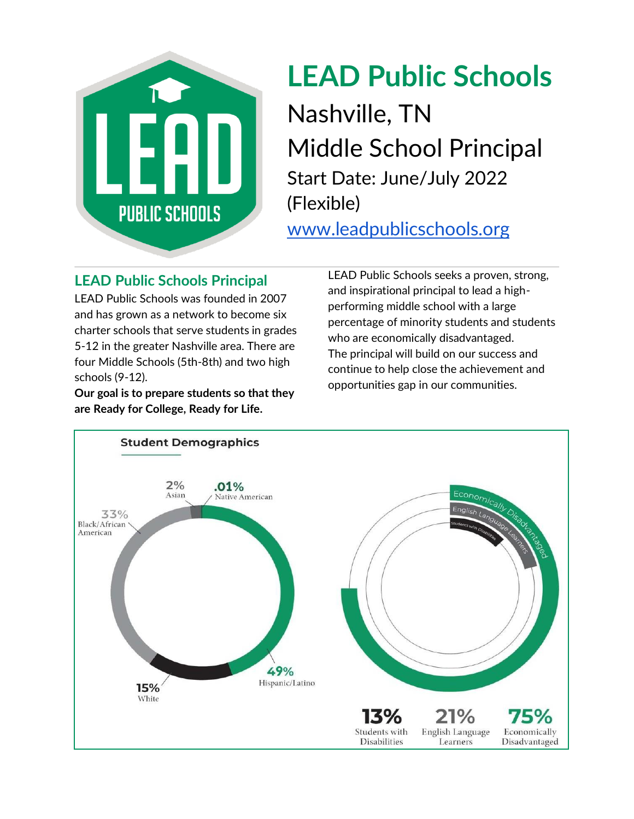

# **LEAD Public Schools** Nashville, TN Middle School Principal Start Date: June/July 2022 (Flexible)

[www.leadpublicschools.org](http://www.leadpublicschools.org/)

# **LEAD Public Schools Principal**

LEAD Public Schools was founded in 2007 and has grown as a network to become six charter schools that serve students in grades 5-12 in the greater Nashville area. There are four Middle Schools (5th-8th) and two high schools (9-12).

**Our goal is to prepare students so that they are Ready for College, Ready for Life.**

LEAD Public Schools seeks a proven, strong, and inspirational principal to lead a highperforming middle school with a large percentage of minority students and students who are economically disadvantaged. The principal will build on our success and continue to help close the achievement and opportunities gap in our communities.

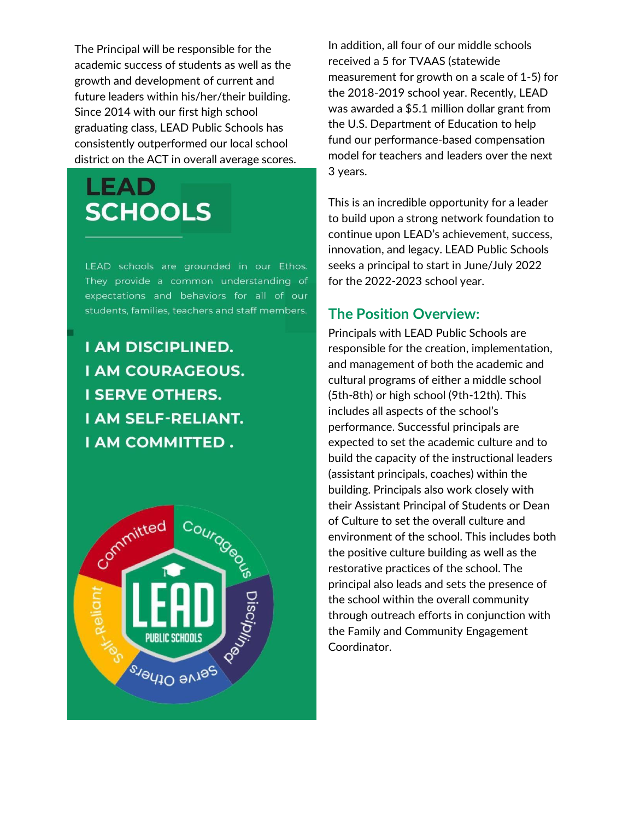The Principal will be responsible for the academic success of students as well as the growth and development of current and future leaders within his/her/their building. Since 2014 with our first high school graduating class, LEAD Public Schools has consistently outperformed our local school district on the ACT in overall average scores.

# LEAD. **SCHOOLS**

LEAD schools are grounded in our Ethos. They provide a common understanding of expectations and behaviors for all of our students, families, teachers and staff members.

**I AM DISCIPLINED. I AM COURAGEOUS. I SERVE OTHERS. I AM SELF-RELIANT.** I AM COMMITTED.



In addition, all four of our middle schools received a 5 for TVAAS (statewide measurement for growth on a scale of 1-5) for the 2018-2019 school year. Recently, LEAD was awarded a \$5.1 million dollar grant from the U.S. Department of Education to help fund our performance-based compensation model for teachers and leaders over the next 3 years.

This is an incredible opportunity for a leader to build upon a strong network foundation to continue upon LEAD's achievement, success, innovation, and legacy. LEAD Public Schools seeks a principal to start in June/July 2022 for the 2022-2023 school year.

#### **The Position Overview:**

Principals with LEAD Public Schools are responsible for the creation, implementation, and management of both the academic and cultural programs of either a middle school (5th-8th) or high school (9th-12th). This includes all aspects of the school's performance. Successful principals are expected to set the academic culture and to build the capacity of the instructional leaders (assistant principals, coaches) within the building. Principals also work closely with their Assistant Principal of Students or Dean of Culture to set the overall culture and environment of the school. This includes both the positive culture building as well as the restorative practices of the school. The principal also leads and sets the presence of the school within the overall community through outreach efforts in conjunction with the Family and Community Engagement Coordinator.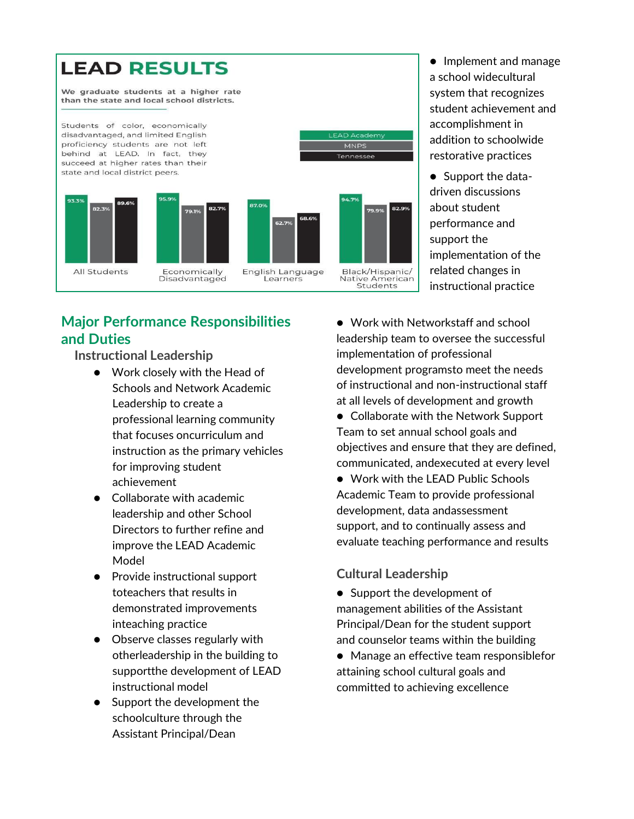

### **Major Performance Responsibilities and Duties**

**Instructional Leadership**

- Work closely with the Head of Schools and Network Academic Leadership to create a professional learning community that focuses oncurriculum and instruction as the primary vehicles for improving student achievement
- Collaborate with academic leadership and other School Directors to further refine and improve the LEAD Academic Model
- Provide instructional support toteachers that results in demonstrated improvements inteaching practice
- Observe classes regularly with otherleadership in the building to supportthe development of LEAD instructional model
- Support the development the schoolculture through the Assistant Principal/Dean

● Implement and manage a school widecultural system that recognizes student achievement and accomplishment in addition to schoolwide restorative practices

● Support the datadriven discussions about student performance and support the implementation of the related changes in instructional practice

● Work with Networkstaff and school leadership team to oversee the successful implementation of professional development programsto meet the needs of instructional and non-instructional staff at all levels of development and growth

- Collaborate with the Network Support Team to set annual school goals and objectives and ensure that they are defined, communicated, andexecuted at every level
- Work with the LEAD Public Schools Academic Team to provide professional development, data andassessment support, and to continually assess and evaluate teaching performance and results

#### **Cultural Leadership**

- Support the development of management abilities of the Assistant Principal/Dean for the student support and counselor teams within the building
- Manage an effective team responsiblefor attaining school cultural goals and committed to achieving excellence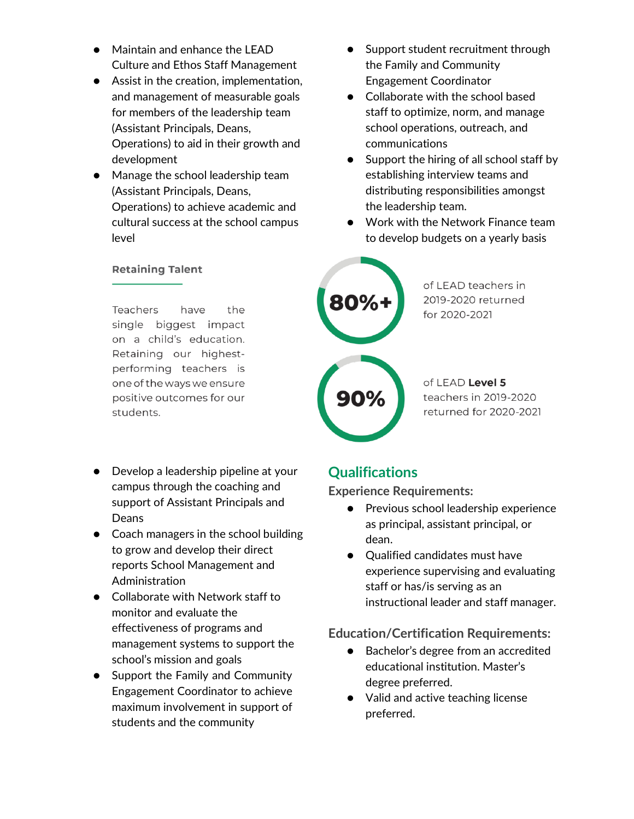- Maintain and enhance the LEAD Culture and Ethos Staff Management
- Assist in the creation, implementation, and management of measurable goals for members of the leadership team (Assistant Principals, Deans, Operations) to aid in their growth and development
- Manage the school leadership team (Assistant Principals, Deans, Operations) to achieve academic and cultural success at the school campus level

#### **Retaining Talent**

Teachers have the single biggest impact on a child's education. Retaining our highestperforming teachers is one of the ways we ensure positive outcomes for our students.

- Develop a leadership pipeline at your campus through the coaching and support of Assistant Principals and Deans
- Coach managers in the school building to grow and develop their direct reports School Management and Administration
- Collaborate with Network staff to monitor and evaluate the effectiveness of programs and management systems to support the school's mission and goals
- Support the Family and Community Engagement Coordinator to achieve maximum involvement in support of students and the community
- Support student recruitment through the Family and Community Engagement Coordinator
- Collaborate with the school based staff to optimize, norm, and manage school operations, outreach, and communications
- Support the hiring of all school staff by establishing interview teams and distributing responsibilities amongst the leadership team.
- Work with the Network Finance team to develop budgets on a yearly basis



of LEAD teachers in 2019-2020 returned for 2020-2021

of LEAD Level 5 teachers in 2019-2020 returned for 2020-2021

#### **Qualifications**

**Experience Requirements:**

- Previous school leadership experience as principal, assistant principal, or dean.
- Qualified candidates must have experience supervising and evaluating staff or has/is serving as an instructional leader and staff manager.

#### **Education/Certification Requirements:**

- Bachelor's degree from an accredited educational institution. Master's degree preferred.
- Valid and active teaching license preferred.